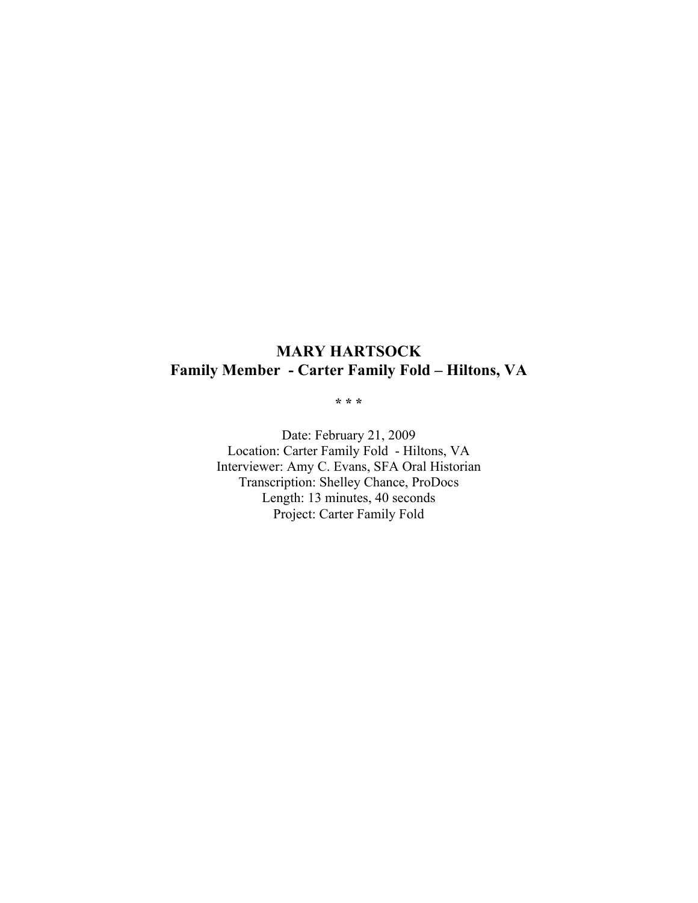### **MARY HARTSOCK Family Member - Carter Family Fold – Hiltons, VA**

**\* \* \***

Date: February 21, 2009 Location: Carter Family Fold - Hiltons, VA Interviewer: Amy C. Evans, SFA Oral Historian Transcription: Shelley Chance, ProDocs Length: 13 minutes, 40 seconds Project: Carter Family Fold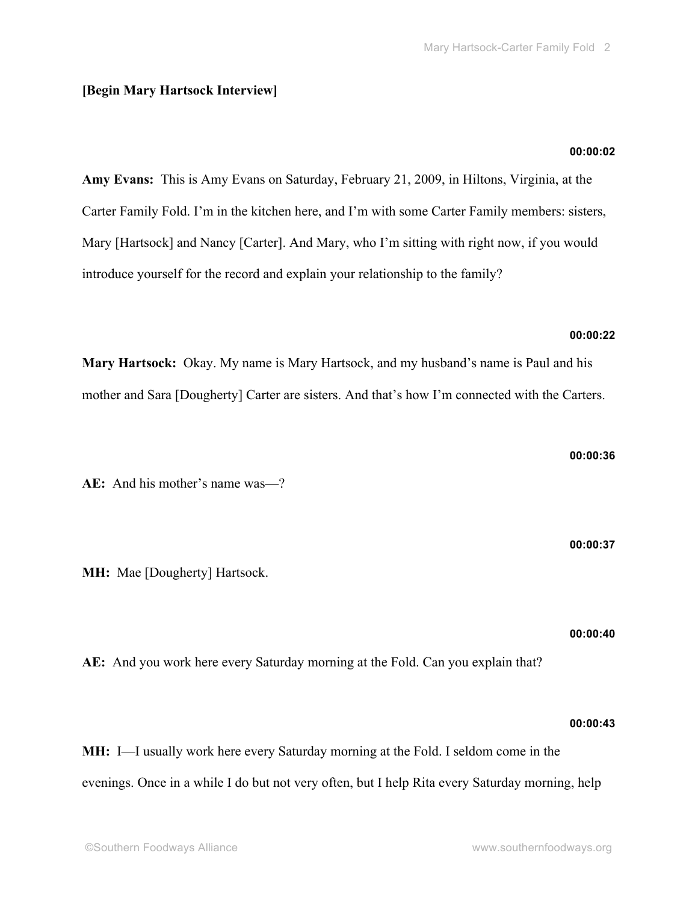#### **[Begin Mary Hartsock Interview]**

# **Amy Evans:** This is Amy Evans on Saturday, February 21, 2009, in Hiltons, Virginia, at the Carter Family Fold. I'm in the kitchen here, and I'm with some Carter Family members: sisters, Mary [Hartsock] and Nancy [Carter]. And Mary, who I'm sitting with right now, if you would introduce yourself for the record and explain your relationship to the family?

#### **00:00:22**

**00:00:02**

**Mary Hartsock:** Okay. My name is Mary Hartsock, and my husband's name is Paul and his mother and Sara [Dougherty] Carter are sisters. And that's how I'm connected with the Carters.

**AE:** And his mother's name was—?

**MH:** Mae [Dougherty] Hartsock.

**00:00:40**

**AE:** And you work here every Saturday morning at the Fold. Can you explain that?

**MH:** I—I usually work here every Saturday morning at the Fold. I seldom come in the

**00:00:43**

evenings. Once in a while I do but not very often, but I help Rita every Saturday morning, help

**00:00:36**

**00:00:37**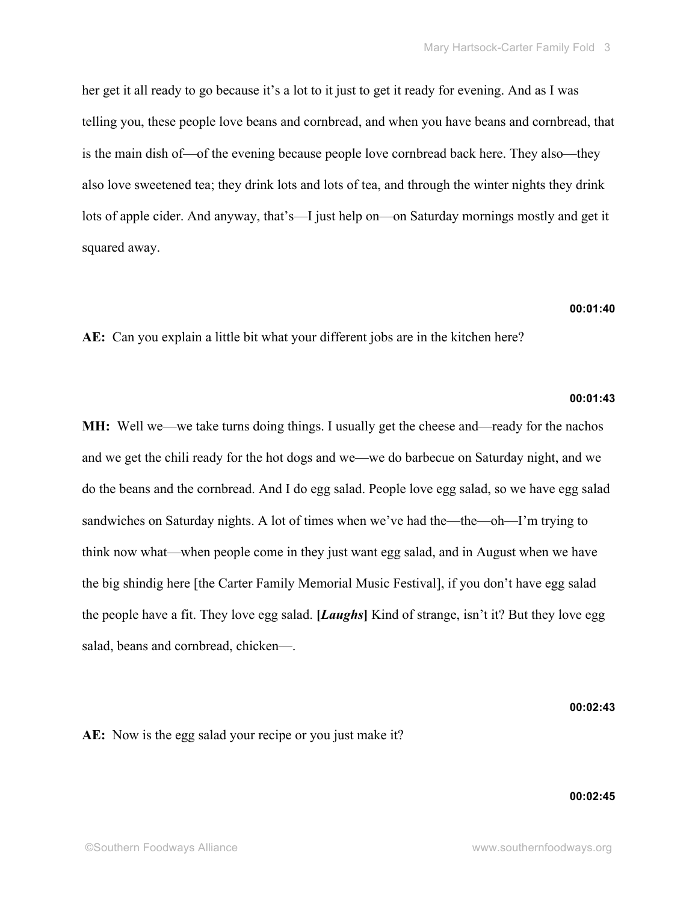her get it all ready to go because it's a lot to it just to get it ready for evening. And as I was telling you, these people love beans and cornbread, and when you have beans and cornbread, that is the main dish of—of the evening because people love cornbread back here. They also—they also love sweetened tea; they drink lots and lots of tea, and through the winter nights they drink lots of apple cider. And anyway, that's—I just help on—on Saturday mornings mostly and get it squared away.

#### **00:01:40**

**AE:** Can you explain a little bit what your different jobs are in the kitchen here?

#### **00:01:43**

**MH:** Well we—we take turns doing things. I usually get the cheese and—ready for the nachos and we get the chili ready for the hot dogs and we—we do barbecue on Saturday night, and we do the beans and the cornbread. And I do egg salad. People love egg salad, so we have egg salad sandwiches on Saturday nights. A lot of times when we've had the—the—oh—I'm trying to think now what—when people come in they just want egg salad, and in August when we have the big shindig here [the Carter Family Memorial Music Festival], if you don't have egg salad the people have a fit. They love egg salad. **[***Laughs***]** Kind of strange, isn't it? But they love egg salad, beans and cornbread, chicken—.

#### **00:02:43**

**AE:** Now is the egg salad your recipe or you just make it?

#### **00:02:45**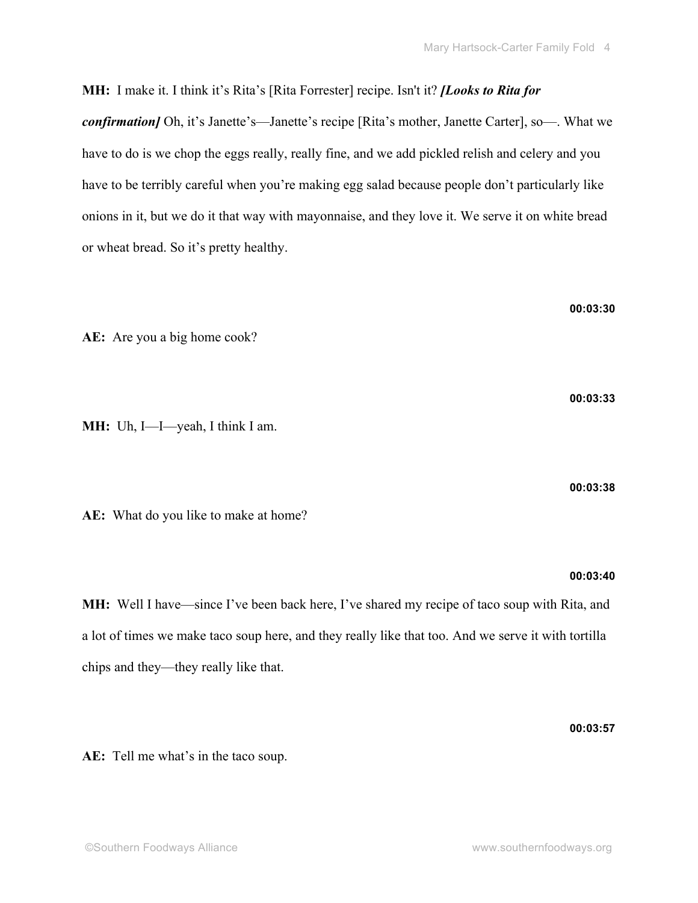**MH:** I make it. I think it's Rita's [Rita Forrester] recipe. Isn't it? *[Looks to Rita for confirmation]* Oh, it's Janette's—Janette's recipe [Rita's mother, Janette Carter], so—. What we have to do is we chop the eggs really, really fine, and we add pickled relish and celery and you have to be terribly careful when you're making egg salad because people don't particularly like onions in it, but we do it that way with mayonnaise, and they love it. We serve it on white bread or wheat bread. So it's pretty healthy.

**AE:** Are you a big home cook?

**MH:** Uh, I—I—yeah, I think I am.

**AE:** What do you like to make at home?

#### **00:03:40**

**MH:** Well I have—since I've been back here, I've shared my recipe of taco soup with Rita, and a lot of times we make taco soup here, and they really like that too. And we serve it with tortilla chips and they—they really like that.

**AE:** Tell me what's in the taco soup.

**00:03:57**

**00:03:33**

**00:03:38**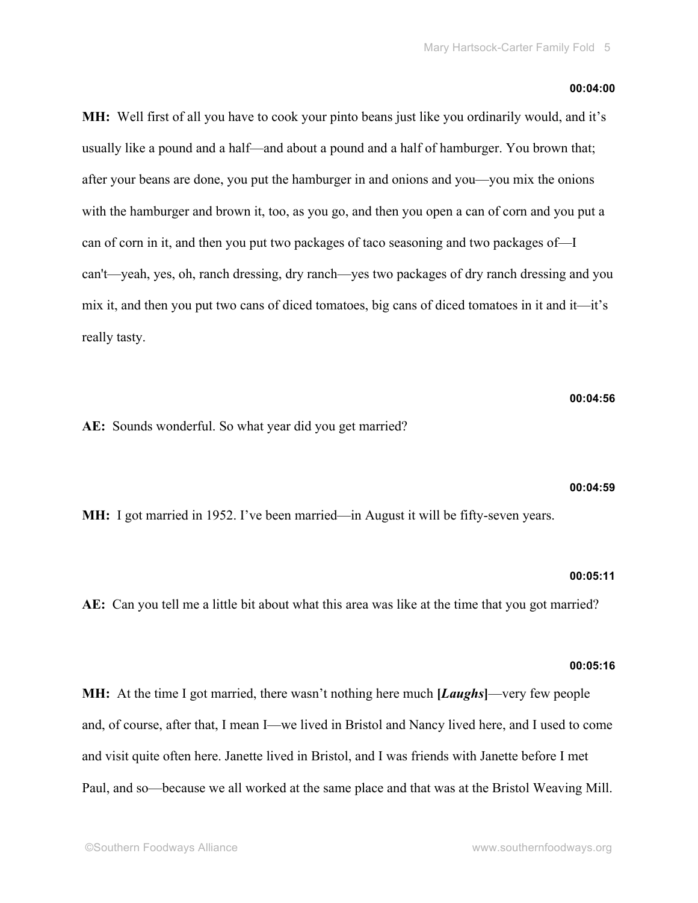#### **00:04:00**

**MH:** Well first of all you have to cook your pinto beans just like you ordinarily would, and it's usually like a pound and a half—and about a pound and a half of hamburger. You brown that; after your beans are done, you put the hamburger in and onions and you—you mix the onions with the hamburger and brown it, too, as you go, and then you open a can of corn and you put a can of corn in it, and then you put two packages of taco seasoning and two packages of—I can't—yeah, yes, oh, ranch dressing, dry ranch—yes two packages of dry ranch dressing and you mix it, and then you put two cans of diced tomatoes, big cans of diced tomatoes in it and it—it's really tasty.

**00:04:56**

**AE:** Sounds wonderful. So what year did you get married?

#### **00:04:59**

**MH:** I got married in 1952. I've been married—in August it will be fifty-seven years.

#### **00:05:11**

**AE:** Can you tell me a little bit about what this area was like at the time that you got married?

#### **00:05:16**

**MH:** At the time I got married, there wasn't nothing here much **[***Laughs***]**—very few people and, of course, after that, I mean I—we lived in Bristol and Nancy lived here, and I used to come and visit quite often here. Janette lived in Bristol, and I was friends with Janette before I met Paul, and so—because we all worked at the same place and that was at the Bristol Weaving Mill.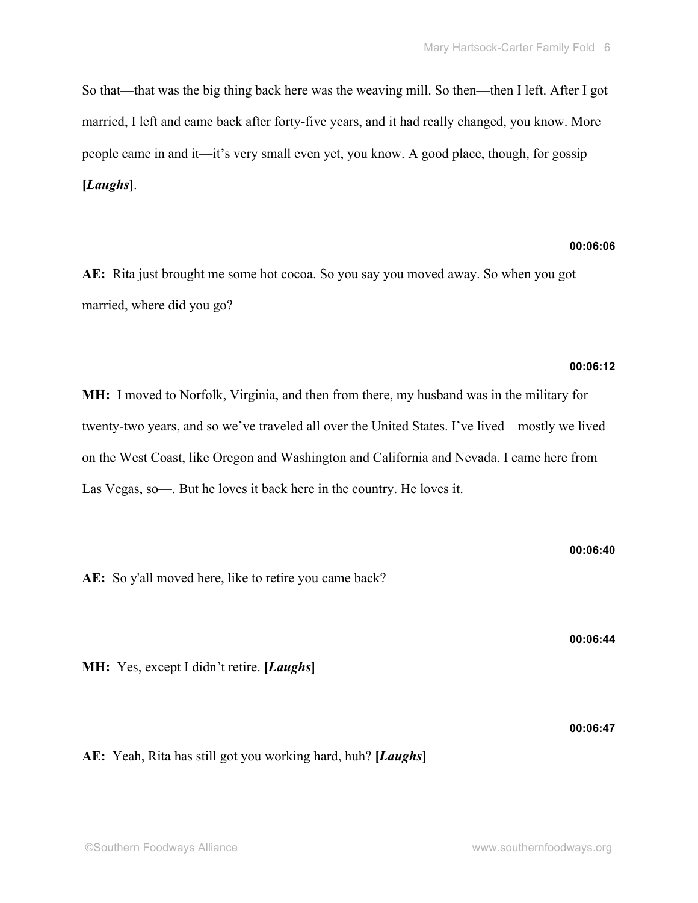So that—that was the big thing back here was the weaving mill. So then—then I left. After I got married, I left and came back after forty-five years, and it had really changed, you know. More people came in and it—it's very small even yet, you know. A good place, though, for gossip **[***Laughs***]**.

#### **00:06:06**

**AE:** Rita just brought me some hot cocoa. So you say you moved away. So when you got married, where did you go?

#### **00:06:12**

**MH:** I moved to Norfolk, Virginia, and then from there, my husband was in the military for twenty-two years, and so we've traveled all over the United States. I've lived—mostly we lived on the West Coast, like Oregon and Washington and California and Nevada. I came here from Las Vegas, so—. But he loves it back here in the country. He loves it.

**AE:** So y'all moved here, like to retire you came back?

**MH:** Yes, except I didn't retire. **[***Laughs***]**

**AE:** Yeah, Rita has still got you working hard, huh? **[***Laughs***]**

**00:06:44**

**00:06:40**

**00:06:47**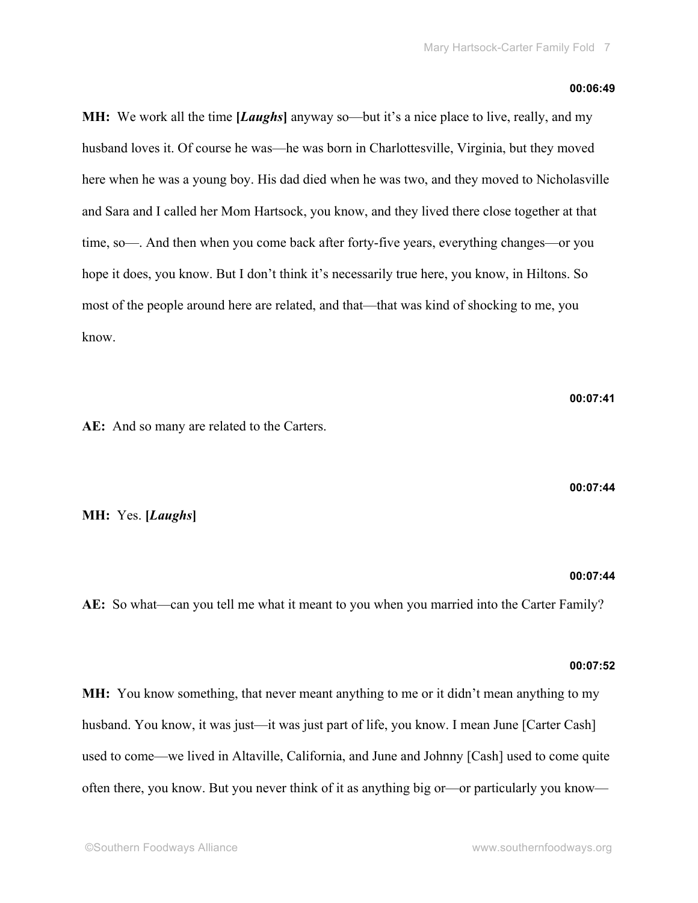#### **00:06:49**

**MH:** We work all the time **[***Laughs***]** anyway so—but it's a nice place to live, really, and my husband loves it. Of course he was—he was born in Charlottesville, Virginia, but they moved here when he was a young boy. His dad died when he was two, and they moved to Nicholasville and Sara and I called her Mom Hartsock, you know, and they lived there close together at that time, so—. And then when you come back after forty-five years, everything changes—or you hope it does, you know. But I don't think it's necessarily true here, you know, in Hiltons. So most of the people around here are related, and that—that was kind of shocking to me, you know.

**AE:** And so many are related to the Carters.

**MH:** Yes. **[***Laughs***]**

## **00:07:44**

**00:07:44**

**AE:** So what—can you tell me what it meant to you when you married into the Carter Family?

#### **00:07:52**

**MH:** You know something, that never meant anything to me or it didn't mean anything to my husband. You know, it was just—it was just part of life, you know. I mean June [Carter Cash] used to come—we lived in Altaville, California, and June and Johnny [Cash] used to come quite often there, you know. But you never think of it as anything big or—or particularly you know—

**00:07:41**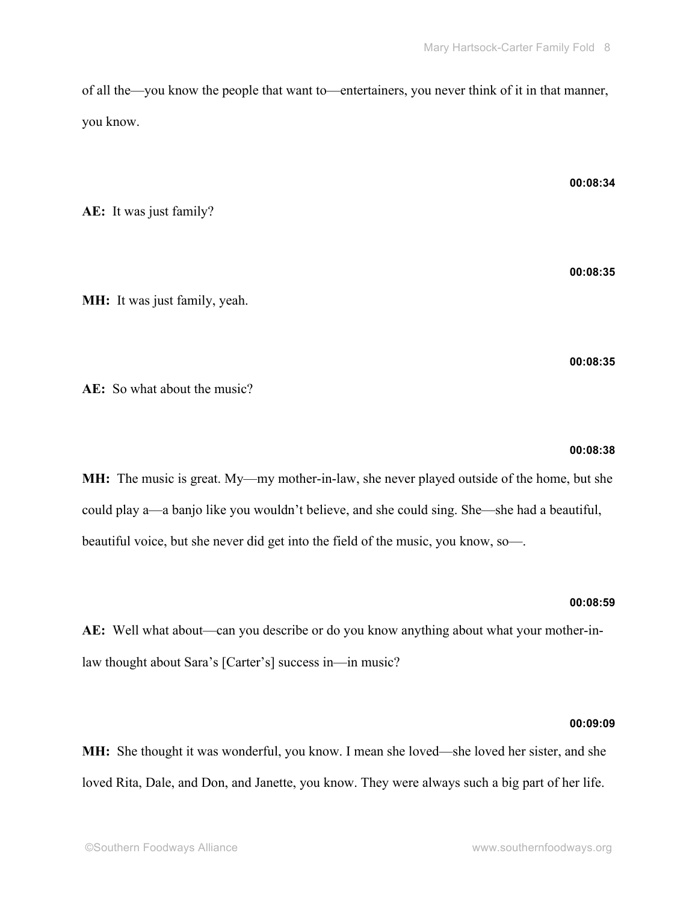of all the—you know the people that want to—entertainers, you never think of it in that manner, you know.

**AE:** It was just family?

**MH:** It was just family, yeah.

**AE:** So what about the music?

#### **00:08:38**

**00:08:35**

**MH:** The music is great. My—my mother-in-law, she never played outside of the home, but she could play a—a banjo like you wouldn't believe, and she could sing. She—she had a beautiful, beautiful voice, but she never did get into the field of the music, you know, so—.

#### **00:08:59**

**AE:** Well what about—can you describe or do you know anything about what your mother-inlaw thought about Sara's [Carter's] success in—in music?

#### **00:09:09**

**MH:** She thought it was wonderful, you know. I mean she loved—she loved her sister, and she loved Rita, Dale, and Don, and Janette, you know. They were always such a big part of her life.

#### **00:08:34**

**00:08:35**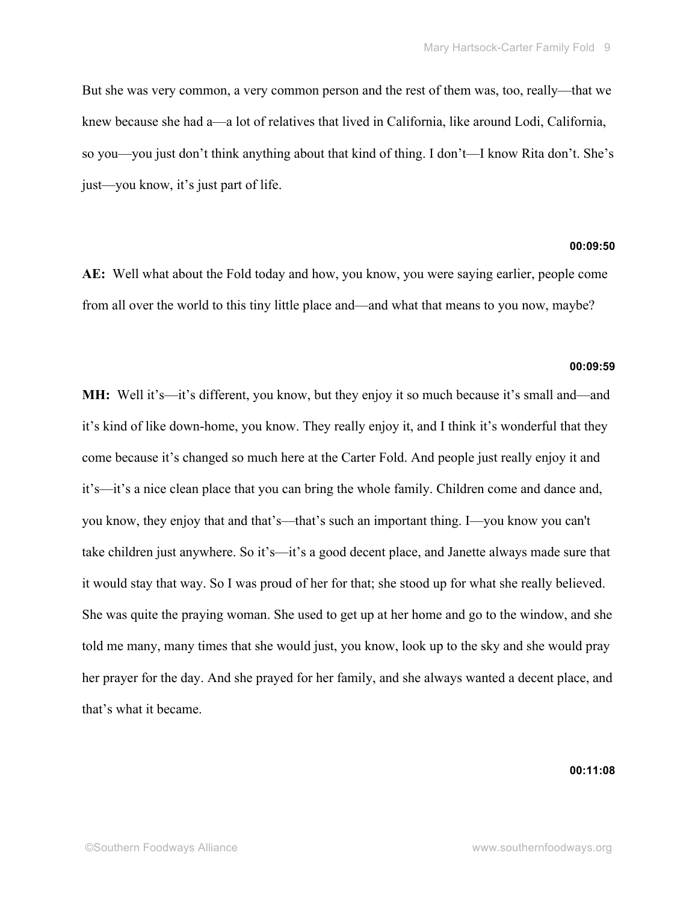But she was very common, a very common person and the rest of them was, too, really—that we knew because she had a—a lot of relatives that lived in California, like around Lodi, California, so you—you just don't think anything about that kind of thing. I don't—I know Rita don't. She's just—you know, it's just part of life.

#### **00:09:50**

**AE:** Well what about the Fold today and how, you know, you were saying earlier, people come from all over the world to this tiny little place and—and what that means to you now, maybe?

#### **00:09:59**

**MH:** Well it's—it's different, you know, but they enjoy it so much because it's small and—and it's kind of like down-home, you know. They really enjoy it, and I think it's wonderful that they come because it's changed so much here at the Carter Fold. And people just really enjoy it and it's—it's a nice clean place that you can bring the whole family. Children come and dance and, you know, they enjoy that and that's—that's such an important thing. I—you know you can't take children just anywhere. So it's—it's a good decent place, and Janette always made sure that it would stay that way. So I was proud of her for that; she stood up for what she really believed. She was quite the praying woman. She used to get up at her home and go to the window, and she told me many, many times that she would just, you know, look up to the sky and she would pray her prayer for the day. And she prayed for her family, and she always wanted a decent place, and that's what it became.

**00:11:08**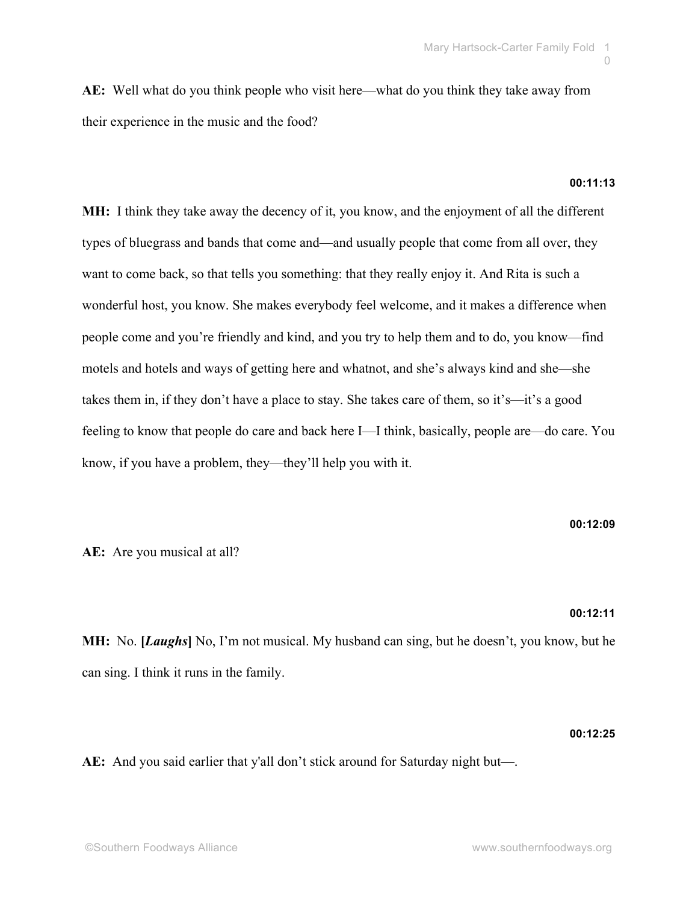**AE:** Well what do you think people who visit here—what do you think they take away from their experience in the music and the food?

#### **00:11:13**

**MH:** I think they take away the decency of it, you know, and the enjoyment of all the different types of bluegrass and bands that come and—and usually people that come from all over, they want to come back, so that tells you something: that they really enjoy it. And Rita is such a wonderful host, you know. She makes everybody feel welcome, and it makes a difference when people come and you're friendly and kind, and you try to help them and to do, you know—find motels and hotels and ways of getting here and whatnot, and she's always kind and she—she takes them in, if they don't have a place to stay. She takes care of them, so it's—it's a good feeling to know that people do care and back here I—I think, basically, people are—do care. You know, if you have a problem, they—they'll help you with it.

**00:12:09**

#### **AE:** Are you musical at all?

#### **00:12:11**

**MH:** No. **[***Laughs***]** No, I'm not musical. My husband can sing, but he doesn't, you know, but he can sing. I think it runs in the family.

#### **00:12:25**

**AE:** And you said earlier that y'all don't stick around for Saturday night but—.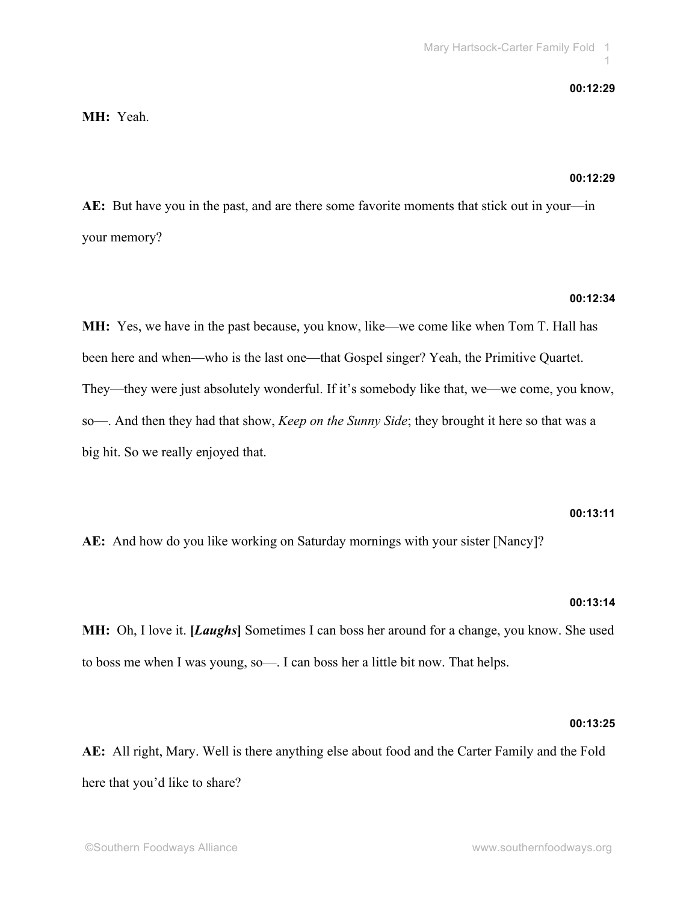#### **00:12:29**

#### **MH:** Yeah.

#### **00:12:29**

**AE:** But have you in the past, and are there some favorite moments that stick out in your—in your memory?

#### **00:12:34**

**MH:** Yes, we have in the past because, you know, like—we come like when Tom T. Hall has been here and when—who is the last one—that Gospel singer? Yeah, the Primitive Quartet. They—they were just absolutely wonderful. If it's somebody like that, we—we come, you know, so—. And then they had that show, *Keep on the Sunny Side*; they brought it here so that was a big hit. So we really enjoyed that.

#### **00:13:11**

**AE:** And how do you like working on Saturday mornings with your sister [Nancy]?

#### **00:13:14**

**MH:** Oh, I love it. **[***Laughs***]** Sometimes I can boss her around for a change, you know. She used to boss me when I was young, so—. I can boss her a little bit now. That helps.

#### **00:13:25**

**AE:** All right, Mary. Well is there anything else about food and the Carter Family and the Fold here that you'd like to share?